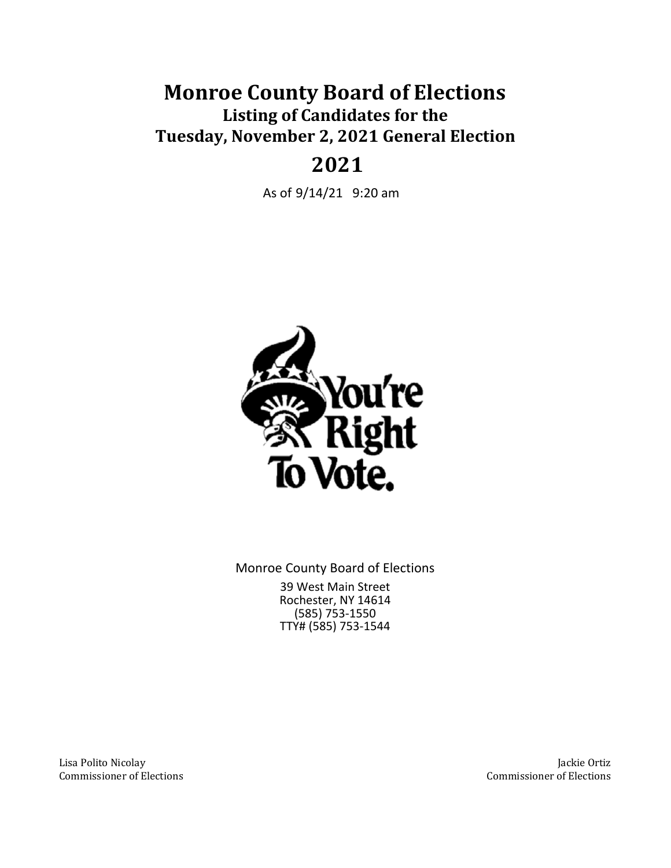# **Monroe County Board of Elections Listing of Candidates for the Tuesday, November 2, 2021 General Election**

# **2021**

As of 9/14/21 9:20 am



Monroe County Board of Elections 39 West Main Street Rochester, NY 14614 (585) 753-1550 TTY# (585) 753-1544

Lisa Polito Nicolay Commissioner of Elections

Jackie Ortiz Commissioner of Elections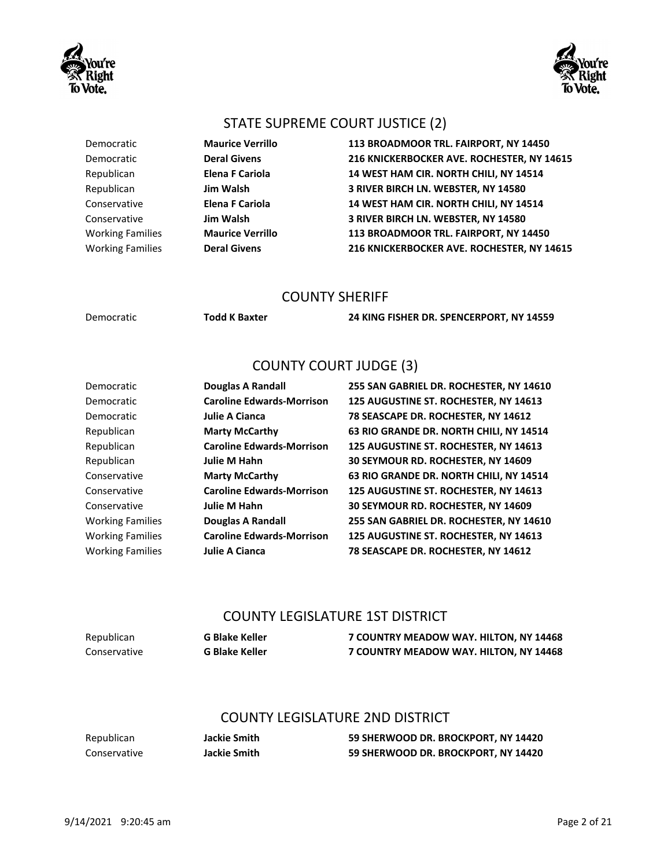



#### STATE SUPREME COURT JUSTICE (2)

Democratic **Maurice Verrillo 113 BROADMOOR TRL. FAIRPORT, NY 14450** Democratic **Deral Givens 216 KNICKERBOCKER AVE. ROCHESTER, NY 14615** Republican **Elena F Cariola 14 WEST HAM CIR. NORTH CHILI, NY 14514** Republican **Jim Walsh 3 RIVER BIRCH LN. WEBSTER, NY 14580** Conservative **Elena F Cariola 14 WEST HAM CIR. NORTH CHILI, NY 14514** Conservative **Jim Walsh 3 RIVER BIRCH LN. WEBSTER, NY 14580** Working Families **Maurice Verrillo 113 BROADMOOR TRL. FAIRPORT, NY 14450** Working Families **Deral Givens 216 KNICKERBOCKER AVE. ROCHESTER, NY 14615**

#### COUNTY SHERIFF

Democratic **Todd K Baxter 24 KING FISHER DR. SPENCERPORT, NY 14559**

### COUNTY COURT JUDGE (3)

| Democratic              | <b>Douglas A Randall</b>         |
|-------------------------|----------------------------------|
| Democratic              | <b>Caroline Edwards-Morrison</b> |
| Democratic              | Julie A Cianca                   |
| Republican              | <b>Marty McCarthy</b>            |
| Republican              | <b>Caroline Edwards-Morrison</b> |
| Republican              | Julie M Hahn                     |
| Conservative            | <b>Marty McCarthy</b>            |
| Conservative            | <b>Caroline Edwards-Morrison</b> |
| Conservative            | Julie M Hahn                     |
| <b>Working Families</b> | Douglas A Randall                |
| <b>Working Families</b> | <b>Caroline Edwards-Morrison</b> |
| <b>Working Families</b> | Julie A Cianca                   |
|                         |                                  |

**255 SAN GABRIEL DR. ROCHESTER, NY 14610 125 AUGUSTINE ST. ROCHESTER, NY 14613 78 SEASCAPE DR. ROCHESTER, NY 14612 63 RIO GRANDE DR. NORTH CHILI, NY 14514** Republican **Caroline Edwards-Morrison 125 AUGUSTINE ST. ROCHESTER, NY 14613 30 SEYMOUR RD. ROCHESTER, NY 14609 63 RIO GRANDE DR. NORTH CHILI, NY 14514** Conservative **Caroline Edwards-Morrison 125 AUGUSTINE ST. ROCHESTER, NY 14613 30 SEYMOUR RD. ROCHESTER, NY 14609 255 SAN GABRIEL DR. ROCHESTER, NY 14610** Working Families **Caroline Edwards-Morrison 125 AUGUSTINE ST. ROCHESTER, NY 14613 78 SEASCAPE DR. ROCHESTER, NY 14612** 

#### COUNTY LEGISLATURE 1ST DISTRICT

| Republican   | <b>G Blake Keller</b> | 7 COUNTRY MEADOW WAY. HILTON, NY 14468 |
|--------------|-----------------------|----------------------------------------|
| Conservative | <b>G Blake Keller</b> | 7 COUNTRY MEADOW WAY. HILTON, NY 14468 |

#### COUNTY LEGISLATURE 2ND DISTRICT

Republican **Jackie Smith 59 SHERWOOD DR. BROCKPORT, NY 14420** Conservative **Jackie Smith 59 SHERWOOD DR. BROCKPORT, NY 14420**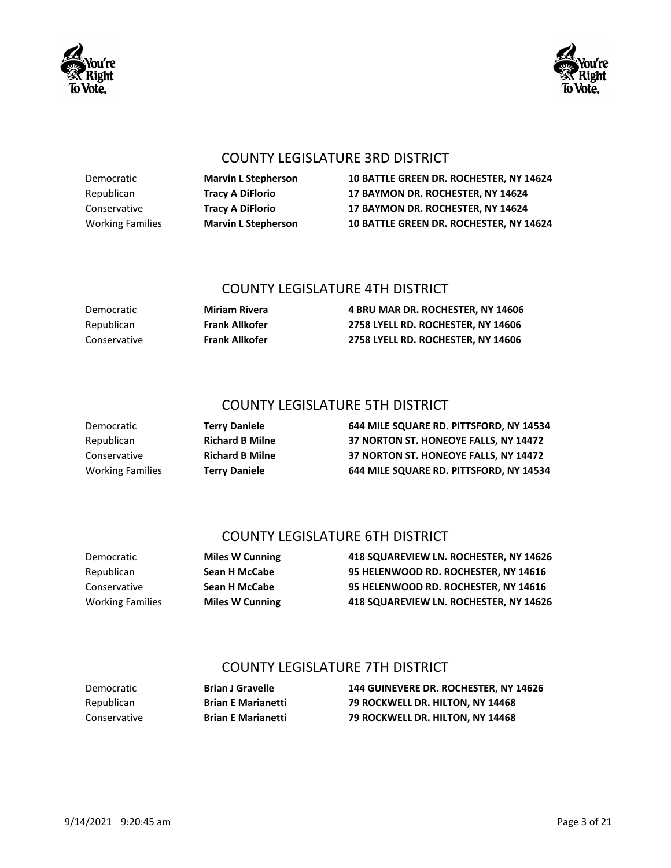



#### COUNTY LEGISLATURE 3RD DISTRICT

Democratic **Marvin L Stepherson 10 BATTLE GREEN DR. ROCHESTER, NY 14624** Republican **Tracy A DiFlorio 17 BAYMON DR. ROCHESTER, NY 14624** Conservative **Tracy A DiFlorio 17 BAYMON DR. ROCHESTER, NY 14624** Working Families **Marvin L Stepherson 10 BATTLE GREEN DR. ROCHESTER, NY 14624**

#### COUNTY LEGISLATURE 4TH DISTRICT

Democratic **Miriam Rivera 4 BRU MAR DR. ROCHESTER, NY 14606** Republican **Frank Allkofer 2758 LYELL RD. ROCHESTER, NY 14606** Conservative **Frank Allkofer 2758 LYELL RD. ROCHESTER, NY 14606**

## COUNTY LEGISLATURE 5TH DISTRICT

Democratic **Terry Daniele 644 MILE SQUARE RD. PITTSFORD, NY 14534** Republican **Richard B Milne 37 NORTON ST. HONEOYE FALLS, NY 14472** Conservative **Richard B Milne 37 NORTON ST. HONEOYE FALLS, NY 14472** Working Families **Terry Daniele 644 MILE SQUARE RD. PITTSFORD, NY 14534**

## COUNTY LEGISLATURE 6TH DISTRICT

Democratic **Miles W Cunning 418 SQUAREVIEW LN. ROCHESTER, NY 14626** Republican **Sean H McCabe 95 HELENWOOD RD. ROCHESTER, NY 14616** Conservative **Sean H McCabe 95 HELENWOOD RD. ROCHESTER, NY 14616** Working Families **Miles W Cunning 418 SQUAREVIEW LN. ROCHESTER, NY 14626**

## COUNTY LEGISLATURE 7TH DISTRICT

Democratic **Brian J Gravelle 144 GUINEVERE DR. ROCHESTER, NY 14626** Republican **Brian E Marianetti 79 ROCKWELL DR. HILTON, NY 14468** Conservative **Brian E Marianetti 79 ROCKWELL DR. HILTON, NY 14468**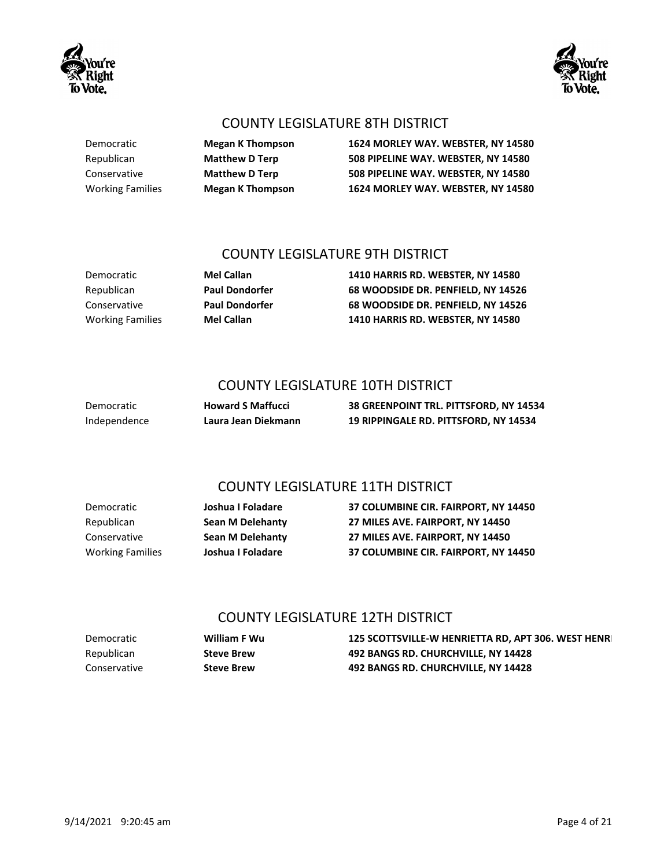

Democratic **Megan K Thompson 1624 MORLEY WAY. WEBSTER, NY 14580** Republican **Matthew D Terp 508 PIPELINE WAY. WEBSTER, NY 14580** Conservative **Matthew D Terp 508 PIPELINE WAY. WEBSTER, NY 14580** Working Families **Megan K Thompson 1624 MORLEY WAY. WEBSTER, NY 14580**

## COUNTY LEGISLATURE 9TH DISTRICT

Democratic **Mel Callan 1410 HARRIS RD. WEBSTER, NY 14580** Republican **Paul Dondorfer 68 WOODSIDE DR. PENFIELD, NY 14526** Conservative **Paul Dondorfer 68 WOODSIDE DR. PENFIELD, NY 14526** Working Families **Mel Callan 1410 HARRIS RD. WEBSTER, NY 14580**

## COUNTY LEGISLATURE 10TH DISTRICT

Democratic **Howard S Maffucci 38 GREENPOINT TRL. PITTSFORD, NY 14534** Independence **Laura Jean Diekmann 19 RIPPINGALE RD. PITTSFORD, NY 14534**

## COUNTY LEGISLATURE 11TH DISTRICT

Democratic **Joshua I Foladare 37 COLUMBINE CIR. FAIRPORT, NY 14450** Republican **Sean M Delehanty 27 MILES AVE. FAIRPORT, NY 14450** Conservative **Sean M Delehanty 27 MILES AVE. FAIRPORT, NY 14450** Working Families **Joshua I Foladare 37 COLUMBINE CIR. FAIRPORT, NY 14450**

## COUNTY LEGISLATURE 12TH DISTRICT

| Democratic   | William F Wu      | 125 SCOTTSVILLE-W HENRIETTA RD, APT 306. WEST HENR |
|--------------|-------------------|----------------------------------------------------|
| Republican   | <b>Steve Brew</b> | 492 BANGS RD. CHURCHVILLE, NY 14428                |
| Conservative | <b>Steve Brew</b> | 492 BANGS RD. CHURCHVILLE, NY 14428                |



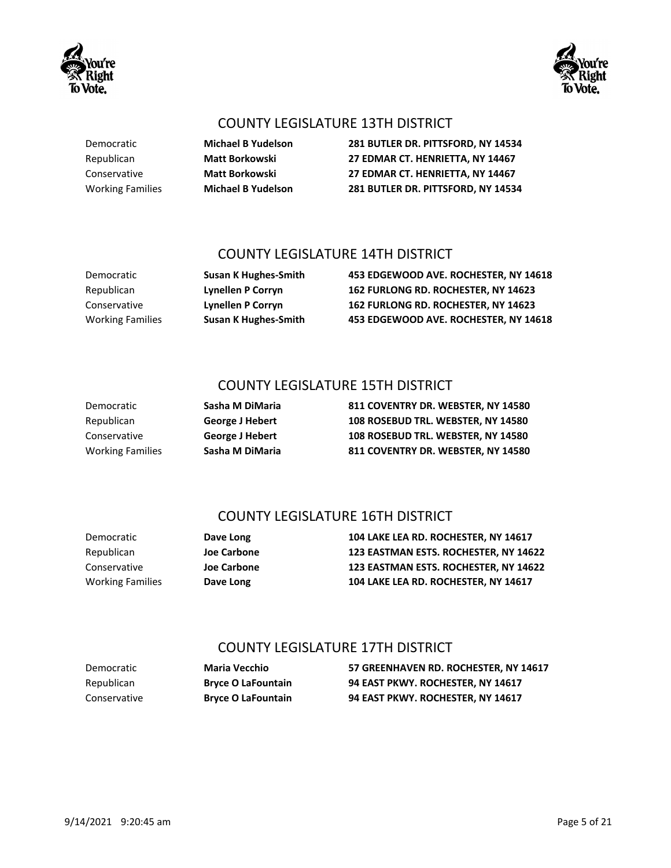## COUNTY LEGISLATURE 13TH DISTRICT

Democratic **Michael B Yudelson 281 BUTLER DR. PITTSFORD, NY 14534** Republican **Matt Borkowski 27 EDMAR CT. HENRIETTA, NY 14467** Conservative **Matt Borkowski 27 EDMAR CT. HENRIETTA, NY 14467** Working Families **Michael B Yudelson 281 BUTLER DR. PITTSFORD, NY 14534**

### COUNTY LEGISLATURE 14TH DISTRICT

Democratic **Susan K Hughes-Smith 453 EDGEWOOD AVE. ROCHESTER, NY 14618** Republican **Lynellen P Corryn 162 FURLONG RD. ROCHESTER, NY 14623** Conservative **Lynellen P Corryn 162 FURLONG RD. ROCHESTER, NY 14623** Working Families **Susan K Hughes-Smith 453 EDGEWOOD AVE. ROCHESTER, NY 14618**

## COUNTY LEGISLATURE 15TH DISTRICT

| 811 COVENTRY DR. WEBSTER, NY 14580 |
|------------------------------------|
| 108 ROSEBUD TRL. WEBSTER. NY 14580 |
| 108 ROSEBUD TRL. WEBSTER. NY 14580 |
| 811 COVENTRY DR. WEBSTER, NY 14580 |

## COUNTY LEGISLATURE 16TH DISTRICT

**Democratic Sasha M DiMaria Republican George J Hebert Conservative <b>George J Hebert Working Families Sasha M DiMaria** 

Democratic **Dave Long 104 LAKE LEA RD. ROCHESTER, NY 14617** Republican **Joe Carbone 123 EASTMAN ESTS. ROCHESTER, NY 14622** Conservative **Joe Carbone 123 EASTMAN ESTS. ROCHESTER, NY 14622** Working Families **Dave Long 104 LAKE LEA RD. ROCHESTER, NY 14617**

## COUNTY LEGISLATURE 17TH DISTRICT

Democratic **Maria Vecchio 57 GREENHAVEN RD. ROCHESTER, NY 14617** Republican **Bryce O LaFountain 94 EAST PKWY. ROCHESTER, NY 14617** Conservative **Bryce O LaFountain 94 EAST PKWY. ROCHESTER, NY 14617**



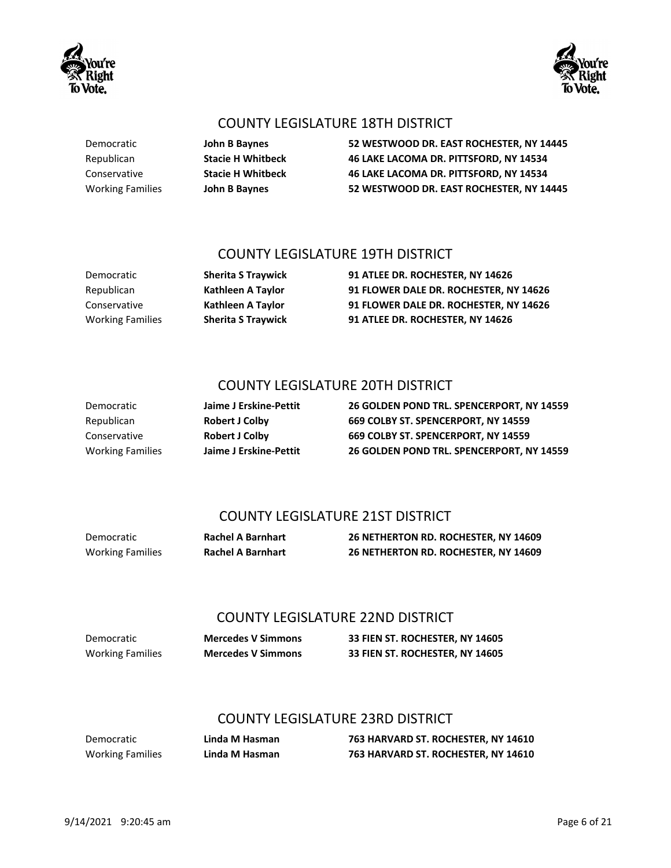## COUNTY LEGISLATURE 18TH DISTRICT

Democratic **John B Baynes 52 WESTWOOD DR. EAST ROCHESTER, NY 14445** Republican **Stacie H Whitbeck 46 LAKE LACOMA DR. PITTSFORD, NY 14534** Conservative **Stacie H Whitbeck 46 LAKE LACOMA DR. PITTSFORD, NY 14534** Working Families **John B Baynes 52 WESTWOOD DR. EAST ROCHESTER, NY 14445**

### COUNTY LEGISLATURE 19TH DISTRICT

Democratic **Sherita S Traywick 91 ATLEE DR. ROCHESTER, NY 14626** Republican **Kathleen A Taylor 91 FLOWER DALE DR. ROCHESTER, NY 14626** Conservative **Kathleen A Taylor 91 FLOWER DALE DR. ROCHESTER, NY 14626** Working Families **Sherita S Traywick 91 ATLEE DR. ROCHESTER, NY 14626**

## COUNTY LEGISLATURE 20TH DISTRICT

Democratic **Jaime J Erskine-Pettit 26 GOLDEN POND TRL. SPENCERPORT, NY 14559** Republican **Robert J Colby 669 COLBY ST. SPENCERPORT, NY 14559** Conservative **Robert J Colby 669 COLBY ST. SPENCERPORT, NY 14559** Working Families **Jaime J Erskine-Pettit 26 GOLDEN POND TRL. SPENCERPORT, NY 14559**

## COUNTY LEGISLATURE 21ST DISTRICT

| Democratic              | <b>Rachel A Barnhart</b> | 26 NETHERTON RD. ROCHESTER, NY 14609 |
|-------------------------|--------------------------|--------------------------------------|
| <b>Working Families</b> | <b>Rachel A Barnhart</b> | 26 NETHERTON RD. ROCHESTER, NY 14609 |

## COUNTY LEGISLATURE 22ND DISTRICT

Democratic **Mercedes V Simmons 33 FIEN ST. ROCHESTER, NY 14605** Working Families **Mercedes V Simmons 33 FIEN ST. ROCHESTER, NY 14605**

## COUNTY LEGISLATURE 23RD DISTRICT

Democratic **Linda M Hasman 763 HARVARD ST. ROCHESTER, NY 14610** Working Families **Linda M Hasman 763 HARVARD ST. ROCHESTER, NY 14610**



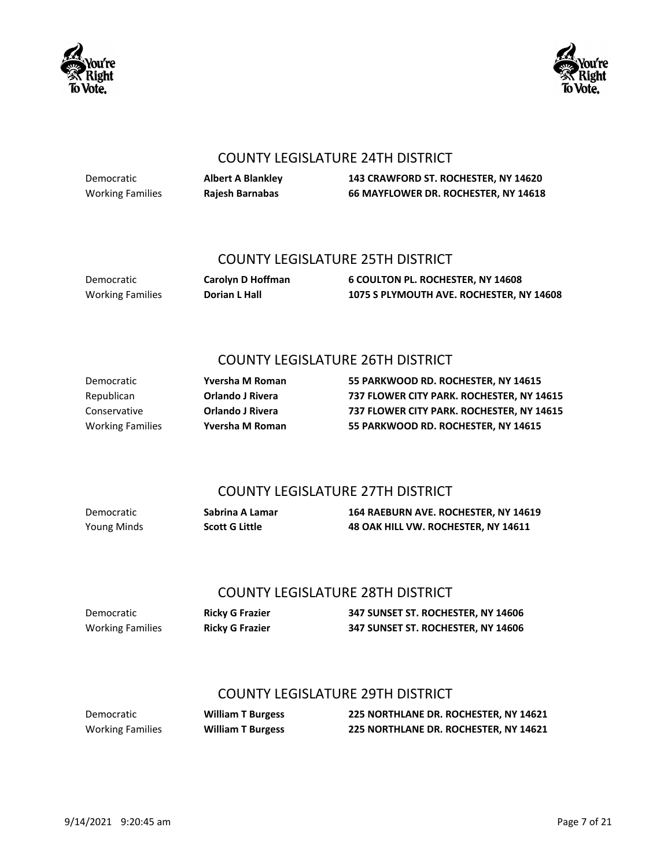



#### COUNTY LEGISLATURE 24TH DISTRICT

Democratic **Albert A Blankley 143 CRAWFORD ST. ROCHESTER, NY 14620** Working Families **Rajesh Barnabas 66 MAYFLOWER DR. ROCHESTER, NY 14618**

#### COUNTY LEGISLATURE 25TH DISTRICT

Democratic **Carolyn D Hoffman 6 COULTON PL. ROCHESTER, NY 14608** Working Families **Dorian L Hall 1075 S PLYMOUTH AVE. ROCHESTER, NY 14608**

## COUNTY LEGISLATURE 26TH DISTRICT

Democratic **Yversha M Roman 55 PARKWOOD RD. ROCHESTER, NY 14615** Republican **Orlando J Rivera 737 FLOWER CITY PARK. ROCHESTER, NY 14615** Conservative **Orlando J Rivera 737 FLOWER CITY PARK. ROCHESTER, NY 14615** Working Families **Yversha M Roman 55 PARKWOOD RD. ROCHESTER, NY 14615**

## COUNTY LEGISLATURE 27TH DISTRICT

Democratic **Sabrina A Lamar 164 RAEBURN AVE. ROCHESTER, NY 14619** Young Minds **Scott G Little 48 OAK HILL VW. ROCHESTER, NY 14611**

#### COUNTY LEGISLATURE 28TH DISTRICT

Democratic **Ricky G Frazier 347 SUNSET ST. ROCHESTER, NY 14606** Working Families **Ricky G Frazier 347 SUNSET ST. ROCHESTER, NY 14606**

## COUNTY LEGISLATURE 29TH DISTRICT

Democratic **William T Burgess 225 NORTHLANE DR. ROCHESTER, NY 14621** Working Families **William T Burgess 225 NORTHLANE DR. ROCHESTER, NY 14621**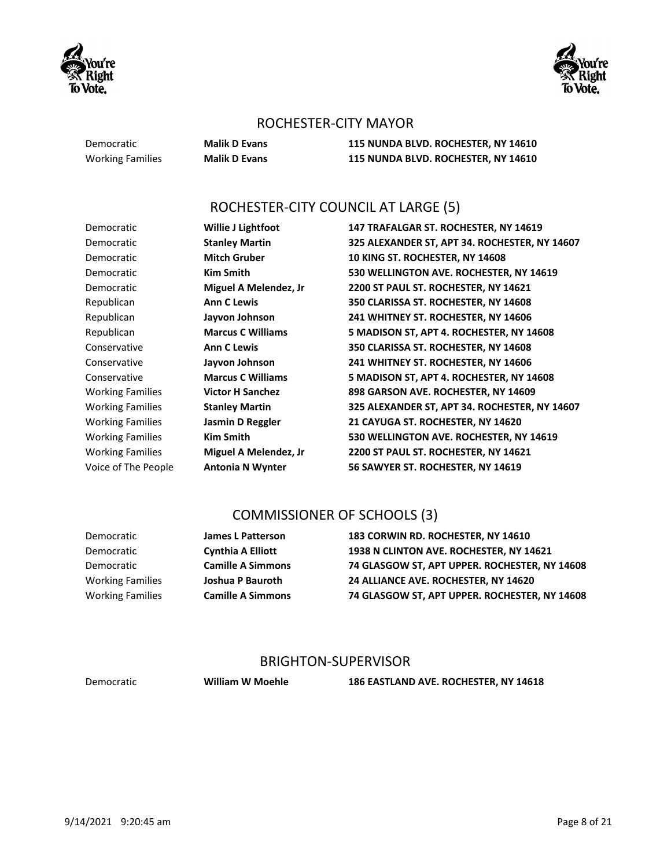



#### ROCHESTER-CITY MAYOR

Democratic **Malik D Evans 115 NUNDA BLVD. ROCHESTER, NY 14610** Working Families **Malik D Evans 115 NUNDA BLVD. ROCHESTER, NY 14610**

## ROCHESTER-CITY COUNCIL AT LARGE (5)

Democratic **Willie J Lightfoot 147 TRAFALGAR ST. ROCHESTER, NY 14619** Democratic **Stanley Martin 325 ALEXANDER ST, APT 34. ROCHESTER, NY 14607** Democratic **Mitch Gruber 10 KING ST. ROCHESTER, NY 14608** Democratic **Kim Smith 530 WELLINGTON AVE. ROCHESTER, NY 14619** Democratic **Miguel A Melendez, Jr 2200 ST PAUL ST. ROCHESTER, NY 14621** Republican **Ann C Lewis 350 CLARISSA ST. ROCHESTER, NY 14608** Republican **Jayvon Johnson 241 WHITNEY ST. ROCHESTER, NY 14606** Republican **Marcus C Williams 5 MADISON ST, APT 4. ROCHESTER, NY 14608** Conservative **Ann C Lewis 350 CLARISSA ST. ROCHESTER, NY 14608** Conservative **Jayvon Johnson 241 WHITNEY ST. ROCHESTER, NY 14606** Conservative **Marcus C Williams 5 MADISON ST, APT 4. ROCHESTER, NY 14608** Working Families **Victor H Sanchez 898 GARSON AVE. ROCHESTER, NY 14609** Working Families **Stanley Martin 325 ALEXANDER ST, APT 34. ROCHESTER, NY 14607** Working Families **Jasmin D Reggler 21 CAYUGA ST. ROCHESTER, NY 14620** Working Families **Kim Smith 530 WELLINGTON AVE. ROCHESTER, NY 14619** Working Families **Miguel A Melendez, Jr 2200 ST PAUL ST. ROCHESTER, NY 14621** Voice of The People **Antonia N Wynter 56 SAWYER ST. ROCHESTER, NY 14619**

#### COMMISSIONER OF SCHOOLS (3)

Democratic **James L Patterson 183 CORWIN RD. ROCHESTER, NY 14610** Democratic **Cynthia A Elliott 1938 N CLINTON AVE. ROCHESTER, NY 14621** Democratic **Camille A Simmons 74 GLASGOW ST, APT UPPER. ROCHESTER, NY 14608** Working Families **Joshua P Bauroth 24 ALLIANCE AVE. ROCHESTER, NY 14620** Working Families **Camille A Simmons 74 GLASGOW ST, APT UPPER. ROCHESTER, NY 14608**

#### BRIGHTON-SUPERVISOR

Democratic **William W Moehle 186 EASTLAND AVE. ROCHESTER, NY 14618**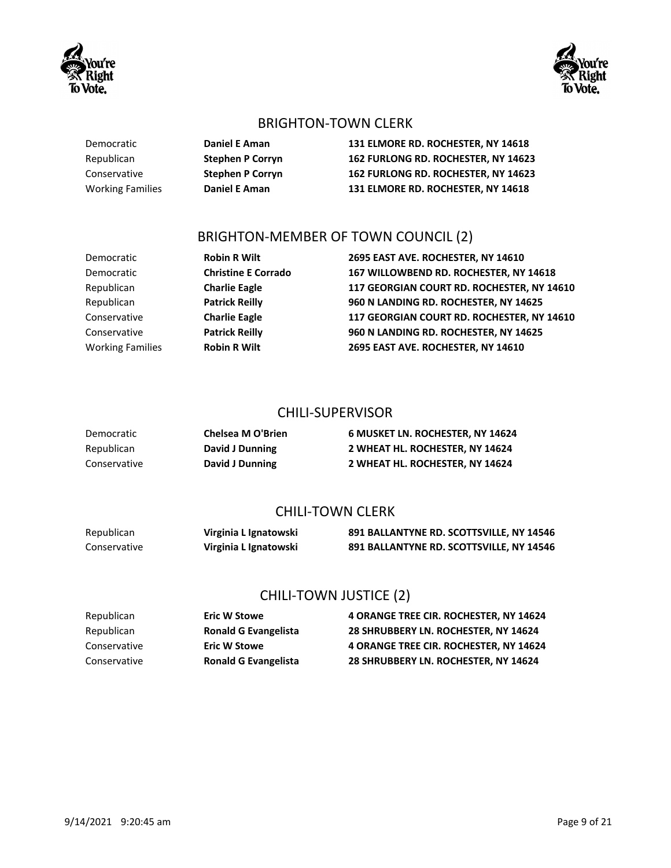

Democratic **Daniel E Aman 131 ELMORE RD. ROCHESTER, NY 14618** Republican **Stephen P Corryn 162 FURLONG RD. ROCHESTER, NY 14623** Conservative **Stephen P Corryn 162 FURLONG RD. ROCHESTER, NY 14623** Working Families **Daniel E Aman 131 ELMORE RD. ROCHESTER, NY 14618**

## BRIGHTON-MEMBER OF TOWN COUNCIL (2)

Democratic **Robin R Wilt 2695 EAST AVE. ROCHESTER, NY 14610** Democratic **Christine E Corrado 167 WILLOWBEND RD. ROCHESTER, NY 14618** Republican **Charlie Eagle 117 GEORGIAN COURT RD. ROCHESTER, NY 14610** Republican **Patrick Reilly 960 N LANDING RD. ROCHESTER, NY 14625** Conservative **Charlie Eagle 117 GEORGIAN COURT RD. ROCHESTER, NY 14610** Conservative **Patrick Reilly 960 N LANDING RD. ROCHESTER, NY 14625** Working Families **Robin R Wilt 2695 EAST AVE. ROCHESTER, NY 14610**

#### CHILI-SUPERVISOR

| Democratic   | Chelsea M O'Brien | 6 MUSKET LN. ROCHESTER, NY 14624 |
|--------------|-------------------|----------------------------------|
| Republican   | David J Dunning   | 2 WHEAT HL. ROCHESTER, NY 14624  |
| Conservative | David J Dunning   | 2 WHEAT HL. ROCHESTER. NY 14624  |

## CHILI-TOWN CLERK

| Republican   | Virginia L Ignatowski | 891 BALLANTYNE RD. SCOTTSVILLE, NY 14546 |
|--------------|-----------------------|------------------------------------------|
| Conservative | Virginia L Ignatowski | 891 BALLANTYNE RD. SCOTTSVILLE, NY 14546 |

## CHILI-TOWN JUSTICE (2)

| Republican   | <b>Eric W Stowe</b>         | <b>4 ORANGE TREE CIR. ROCHESTER. NY 14624</b> |
|--------------|-----------------------------|-----------------------------------------------|
| Republican   | <b>Ronald G Evangelista</b> | 28 SHRUBBERY LN. ROCHESTER. NY 14624          |
| Conservative | <b>Eric W Stowe</b>         | <b>4 ORANGE TREE CIR. ROCHESTER. NY 14624</b> |
| Conservative | <b>Ronald G Evangelista</b> | 28 SHRUBBERY LN. ROCHESTER. NY 14624          |



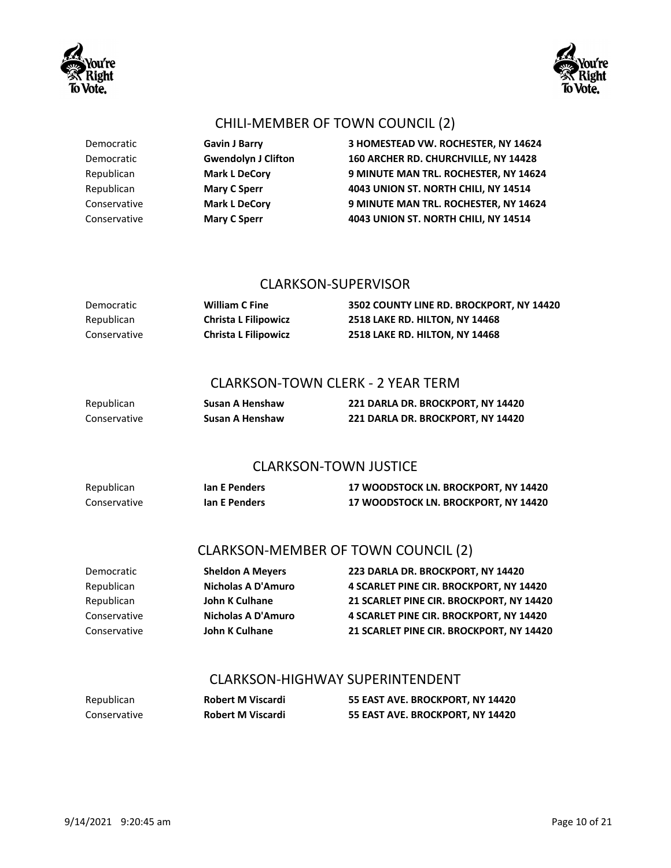

## CHILI-MEMBER OF TOWN COUNCIL (2)

| Democratic   | <b>Gavin J Barry</b>       | 3 HOMESTEAD VW. ROCHESTER, NY 14624   |
|--------------|----------------------------|---------------------------------------|
| Democratic   | <b>Gwendolyn J Clifton</b> | 160 ARCHER RD. CHURCHVILLE, NY 14428  |
| Republican   | <b>Mark L DeCory</b>       | 9 MINUTE MAN TRL. ROCHESTER, NY 14624 |
| Republican   | <b>Mary C Sperr</b>        | 4043 UNION ST. NORTH CHILI, NY 14514  |
| Conservative | <b>Mark L DeCory</b>       | 9 MINUTE MAN TRL. ROCHESTER, NY 14624 |
| Conservative | <b>Mary C Sperr</b>        | 4043 UNION ST. NORTH CHILI, NY 14514  |

#### CLARKSON-SUPERVISOR

| Democratic   | <b>William C Fine</b>       | 3502 COUNTY LINE RD. BROCKPORT, NY 14420 |
|--------------|-----------------------------|------------------------------------------|
| Republican   | <b>Christa L Filipowicz</b> | <b>2518 LAKE RD. HILTON. NY 14468</b>    |
| Conservative | <b>Christa L Filipowicz</b> | <b>2518 LAKE RD. HILTON. NY 14468</b>    |

#### CLARKSON-TOWN CLERK - 2 YEAR TERM

| Republican   | Susan A Henshaw | 221 DARLA DR. BROCKPORT, NY 14420 |
|--------------|-----------------|-----------------------------------|
| Conservative | Susan A Henshaw | 221 DARLA DR. BROCKPORT, NY 14420 |

## CLARKSON-TOWN JUSTICE

| Republican   | lan E Penders | <b>17 WOODSTOCK LN. BROCKPORT, NY 14420</b> |
|--------------|---------------|---------------------------------------------|
| Conservative | lan E Penders | <b>17 WOODSTOCK LN. BROCKPORT, NY 14420</b> |

## CLARKSON-MEMBER OF TOWN COUNCIL (2)

| <b>Sheldon A Meyers</b> | 223 DARLA DR. BROCKPORT. NY 14420        |
|-------------------------|------------------------------------------|
| Nicholas A D'Amuro      | 4 SCARLET PINE CIR. BROCKPORT. NY 14420  |
| <b>John K Culhane</b>   | 21 SCARLET PINE CIR. BROCKPORT. NY 14420 |
| Nicholas A D'Amuro      | 4 SCARLET PINE CIR. BROCKPORT. NY 14420  |
| <b>John K Culhane</b>   | 21 SCARLET PINE CIR. BROCKPORT. NY 14420 |
|                         |                                          |

#### CLARKSON-HIGHWAY SUPERINTENDENT

| Republican   | <b>Robert M Viscardi</b> | 55 EAST AVE. BROCKPORT, NY 14420 |
|--------------|--------------------------|----------------------------------|
| Conservative | <b>Robert M Viscardi</b> | 55 EAST AVE. BROCKPORT, NY 14420 |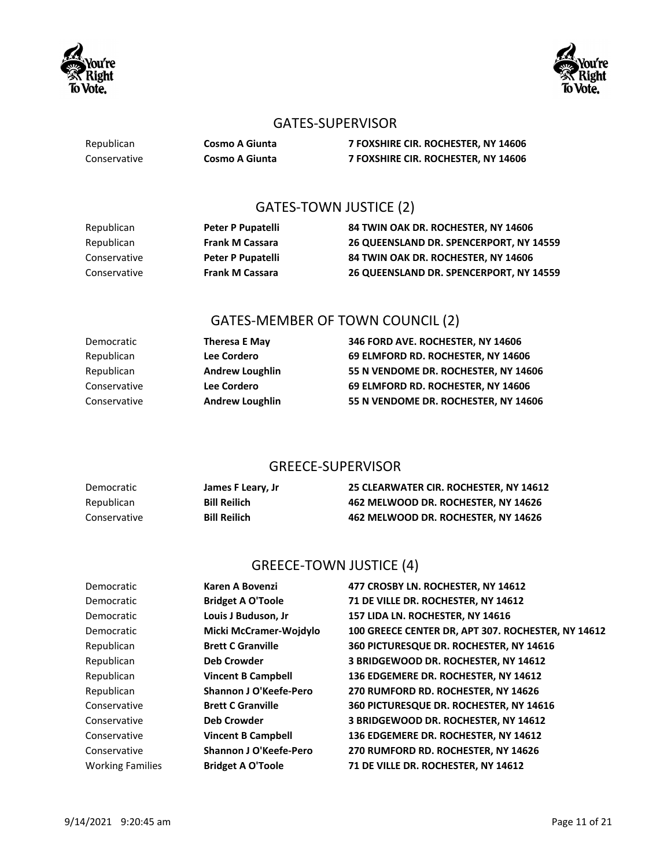



## GATES-SUPERVISOR

| Republican   | <b>Cosmo A Giunta</b> |
|--------------|-----------------------|
| Conservative | Cosmo A Giunta        |

Republican **Cosmo A Giunta 7 FOXSHIRE CIR. ROCHESTER, NY 14606** Conservative **Cosmo A Giunta 7 FOXSHIRE CIR. ROCHESTER, NY 14606**

## GATES-TOWN JUSTICE (2)

| Republican   | Peter P Pupatelli      | 84 TWIN OAK DR. ROCHESTER. NY 14606     |
|--------------|------------------------|-----------------------------------------|
| Republican   | <b>Frank M Cassara</b> | 26 QUEENSLAND DR. SPENCERPORT, NY 14559 |
| Conservative | Peter P Pupatelli      | 84 TWIN OAK DR. ROCHESTER. NY 14606     |
| Conservative | <b>Frank M Cassara</b> | 26 QUEENSLAND DR. SPENCERPORT. NY 14559 |

## GATES-MEMBER OF TOWN COUNCIL (2)

| Democratic   | <b>Theresa E May</b>   | 346 FORD AVE. ROCHESTER, NY 14606    |
|--------------|------------------------|--------------------------------------|
| Republican   | Lee Cordero            | 69 ELMFORD RD. ROCHESTER. NY 14606   |
| Republican   | <b>Andrew Loughlin</b> | 55 N VENDOME DR. ROCHESTER, NY 14606 |
| Conservative | Lee Cordero            | 69 ELMFORD RD. ROCHESTER, NY 14606   |
| Conservative | <b>Andrew Loughlin</b> | 55 N VENDOME DR. ROCHESTER. NY 14606 |

## GREECE-SUPERVISOR

| Democratic   | James F Leary, Jr   | 25 CLEARWATER CIR. ROCHESTER, NY 14612 |
|--------------|---------------------|----------------------------------------|
| Republican   | <b>Bill Reilich</b> | 462 MELWOOD DR. ROCHESTER, NY 14626    |
| Conservative | <b>Bill Reilich</b> | 462 MELWOOD DR. ROCHESTER, NY 14626    |

## GREECE-TOWN JUSTICE (4)

| Democratic              | Karen A Bovenzi               | 477 CROSBY LN. ROCHESTER, NY 14612                 |
|-------------------------|-------------------------------|----------------------------------------------------|
| Democratic              | <b>Bridget A O'Toole</b>      | 71 DE VILLE DR. ROCHESTER, NY 14612                |
| Democratic              | Louis J Buduson, Jr           | 157 LIDA LN. ROCHESTER, NY 14616                   |
| Democratic              | Micki McCramer-Woidylo        | 100 GREECE CENTER DR, APT 307. ROCHESTER, NY 14612 |
| Republican              | <b>Brett C Granville</b>      | 360 PICTURESQUE DR. ROCHESTER, NY 14616            |
| Republican              | <b>Deb Crowder</b>            | 3 BRIDGEWOOD DR. ROCHESTER, NY 14612               |
| Republican              | <b>Vincent B Campbell</b>     | 136 EDGEMERE DR. ROCHESTER, NY 14612               |
| Republican              | Shannon J O'Keefe-Pero        | 270 RUMFORD RD. ROCHESTER, NY 14626                |
| Conservative            | <b>Brett C Granville</b>      | 360 PICTURESQUE DR. ROCHESTER, NY 14616            |
| Conservative            | <b>Deb Crowder</b>            | 3 BRIDGEWOOD DR. ROCHESTER, NY 14612               |
| Conservative            | <b>Vincent B Campbell</b>     | 136 EDGEMERE DR. ROCHESTER, NY 14612               |
| Conservative            | <b>Shannon J O'Keefe-Pero</b> | 270 RUMFORD RD. ROCHESTER, NY 14626                |
| <b>Working Families</b> | <b>Bridget A O'Toole</b>      | 71 DE VILLE DR. ROCHESTER, NY 14612                |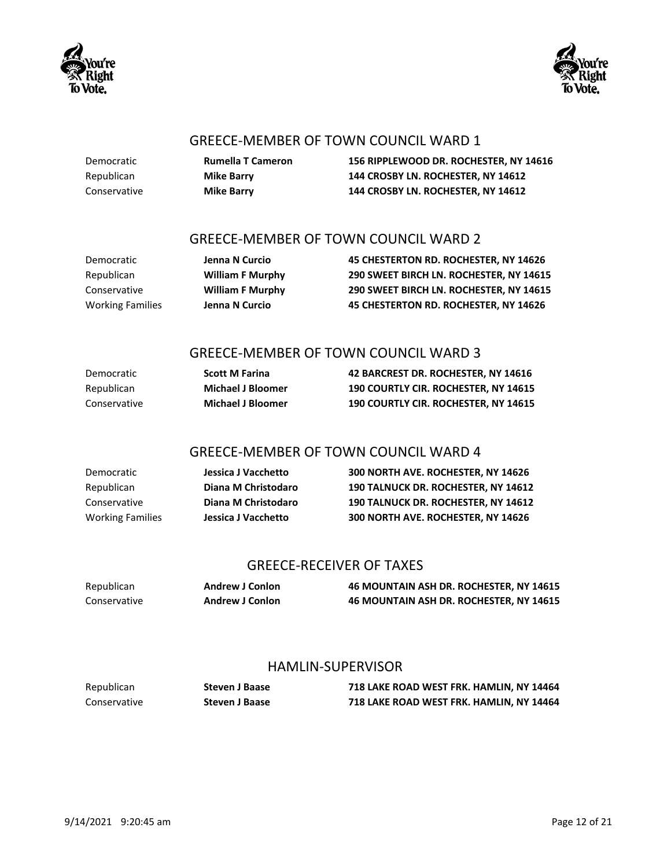



#### GREECE-MEMBER OF TOWN COUNCIL WARD 1

Democratic **Rumella T Cameron 156 RIPPLEWOOD DR. ROCHESTER, NY 14616** Republican **Mike Barry 144 CROSBY LN. ROCHESTER, NY 14612** Conservative **Mike Barry 144 CROSBY LN. ROCHESTER, NY 14612**

### GREECE-MEMBER OF TOWN COUNCIL WARD 2

Democratic **Jenna N Curcio 45 CHESTERTON RD. ROCHESTER, NY 14626** Republican **William F Murphy 290 SWEET BIRCH LN. ROCHESTER, NY 14615** Conservative **William F Murphy 290 SWEET BIRCH LN. ROCHESTER, NY 14615** Working Families **Jenna N Curcio 45 CHESTERTON RD. ROCHESTER, NY 14626**

## GREECE-MEMBER OF TOWN COUNCIL WARD 3

| Democratic   | <b>Scott M Farina</b>    | 42 BARCREST DR. ROCHESTER, NY 14616         |
|--------------|--------------------------|---------------------------------------------|
| Republican   | <b>Michael J Bloomer</b> | <b>190 COURTLY CIR. ROCHESTER. NY 14615</b> |
| Conservative | <b>Michael J Bloomer</b> | <b>190 COURTLY CIR. ROCHESTER. NY 14615</b> |

## GREECE-MEMBER OF TOWN COUNCIL WARD 4

| Democratic              | Jessica J Vacchetto | 300 NORTH AVE. ROCHESTER. NY 14626         |
|-------------------------|---------------------|--------------------------------------------|
| Republican              | Diana M Christodaro | <b>190 TALNUCK DR. ROCHESTER. NY 14612</b> |
| Conservative            | Diana M Christodaro | <b>190 TALNUCK DR. ROCHESTER. NY 14612</b> |
| <b>Working Families</b> | Jessica J Vacchetto | 300 NORTH AVE. ROCHESTER. NY 14626         |

#### GREECE-RECEIVER OF TAXES

Republican **Andrew J Conlon 46 MOUNTAIN ASH DR. ROCHESTER, NY 14615** Conservative **Andrew J Conlon 46 MOUNTAIN ASH DR. ROCHESTER, NY 14615**

#### HAMLIN-SUPERVISOR

| Republican   | Steven J Baase        | 718 LAKE ROAD WEST FRK. HAMLIN, NY 14464 |
|--------------|-----------------------|------------------------------------------|
| Conservative | <b>Steven J Baase</b> | 718 LAKE ROAD WEST FRK. HAMLIN, NY 14464 |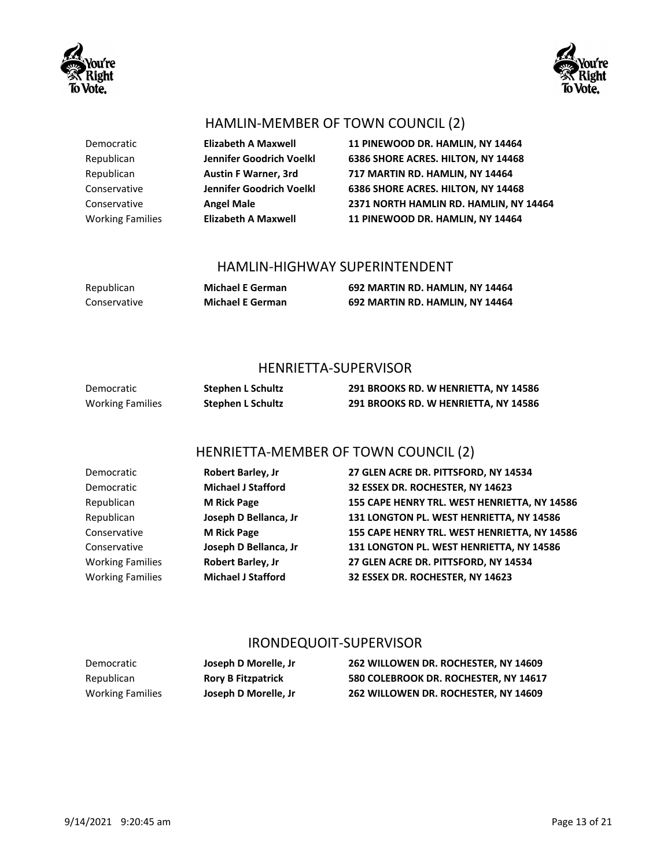



## HAMLIN-MEMBER OF TOWN COUNCIL (2)

| Democratic              | <b>Elizabeth A Maxwell</b>  | 11 PINEWOOD DR. HAMLIN, NY 14464       |
|-------------------------|-----------------------------|----------------------------------------|
| Republican              | Jennifer Goodrich Voelkl    | 6386 SHORE ACRES. HILTON, NY 14468     |
| Republican              | <b>Austin F Warner, 3rd</b> | 717 MARTIN RD. HAMLIN, NY 14464        |
| Conservative            | Jennifer Goodrich Voelkl    | 6386 SHORE ACRES. HILTON, NY 14468     |
| Conservative            | <b>Angel Male</b>           | 2371 NORTH HAMLIN RD. HAMLIN, NY 14464 |
| <b>Working Families</b> | <b>Elizabeth A Maxwell</b>  | 11 PINEWOOD DR. HAMLIN, NY 14464       |

#### HAMLIN-HIGHWAY SUPERINTENDENT

Conservative **Michael E German 692 MARTIN RD. HAMLIN, NY 14464**

Republican **Michael E German 692 MARTIN RD. HAMLIN, NY 14464**

#### HENRIETTA-SUPERVISOR

| Democratic       | Stephen L Schultz | 291 BROOKS RD. W HENRIETTA, NY 14586 |
|------------------|-------------------|--------------------------------------|
| Working Families | Stephen L Schultz | 291 BROOKS RD. W HENRIETTA, NY 14586 |

## HENRIETTA-MEMBER OF TOWN COUNCIL (2)

| Democratic              | Robert Barley, Jr         | 27 GLEN ACRE DR. PITTSFORD, NY 14534         |
|-------------------------|---------------------------|----------------------------------------------|
| Democratic              | <b>Michael J Stafford</b> | 32 ESSEX DR. ROCHESTER, NY 14623             |
| Republican              | <b>M Rick Page</b>        | 155 CAPE HENRY TRL. WEST HENRIETTA, NY 14586 |
| Republican              | Joseph D Bellanca, Jr     | 131 LONGTON PL. WEST HENRIETTA, NY 14586     |
| Conservative            | <b>M Rick Page</b>        | 155 CAPE HENRY TRL. WEST HENRIETTA, NY 14586 |
| Conservative            | Joseph D Bellanca, Jr     | 131 LONGTON PL. WEST HENRIETTA, NY 14586     |
| <b>Working Families</b> | Robert Barley, Jr         | 27 GLEN ACRE DR. PITTSFORD, NY 14534         |
| <b>Working Families</b> | <b>Michael J Stafford</b> | 32 ESSEX DR. ROCHESTER, NY 14623             |

#### IRONDEQUOIT-SUPERVISOR

| Democratic              | Joseph D Morelle, Jr.     | 262 WILLOWEN DR. ROCHESTER. NY 14609  |
|-------------------------|---------------------------|---------------------------------------|
| Republican              | <b>Rory B Fitzpatrick</b> | 580 COLEBROOK DR. ROCHESTER, NY 14617 |
| <b>Working Families</b> | Joseph D Morelle, Jr      | 262 WILLOWEN DR. ROCHESTER, NY 14609  |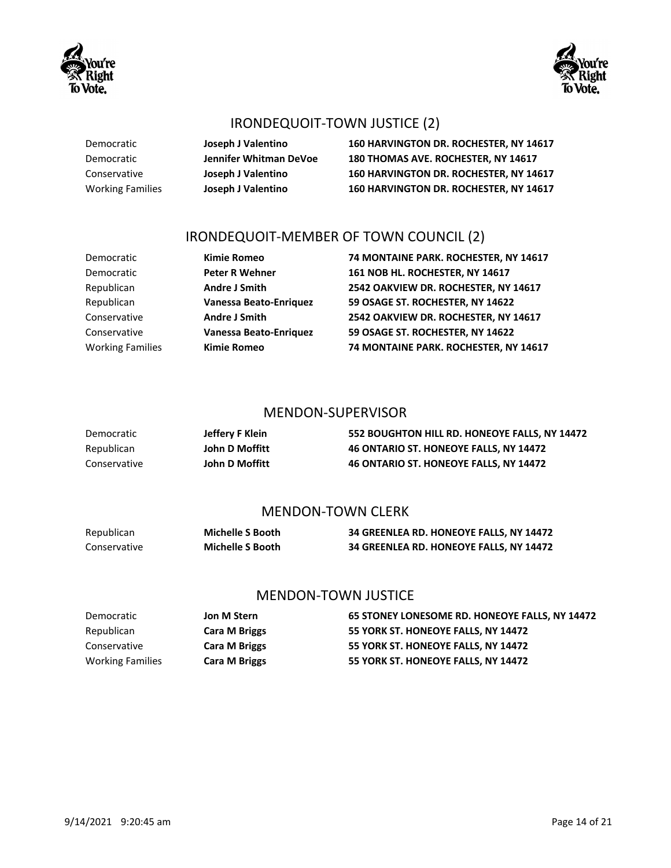



## IRONDEQUOIT-TOWN JUSTICE (2)

Democratic **Joseph J Valentino 160 HARVINGTON DR. ROCHESTER, NY 14617** Democratic **Jennifer Whitman DeVoe 180 THOMAS AVE. ROCHESTER, NY 14617** Conservative **Joseph J Valentino 160 HARVINGTON DR. ROCHESTER, NY 14617** Working Families **Joseph J Valentino 160 HARVINGTON DR. ROCHESTER, NY 14617**

## IRONDEQUOIT-MEMBER OF TOWN COUNCIL (2)

| Democratic              | <b>Kimie Romeo</b>     | 74 MONTAINE PARK. ROCHESTER, NY 14617 |
|-------------------------|------------------------|---------------------------------------|
| Democratic              | <b>Peter R Wehner</b>  | 161 NOB HL. ROCHESTER, NY 14617       |
| Republican              | <b>Andre J Smith</b>   | 2542 OAKVIEW DR. ROCHESTER, NY 14617  |
| Republican              | Vanessa Beato-Enriquez | 59 OSAGE ST. ROCHESTER, NY 14622      |
| Conservative            | <b>Andre J Smith</b>   | 2542 OAKVIEW DR. ROCHESTER, NY 14617  |
| Conservative            | Vanessa Beato-Enriquez | 59 OSAGE ST. ROCHESTER, NY 14622      |
| <b>Working Families</b> | <b>Kimie Romeo</b>     | 74 MONTAINE PARK. ROCHESTER, NY 14617 |

#### MENDON-SUPERVISOR

| Democratic   | Jeffery F Klein | 552 BOUGHTON HILL RD. HONEOYE FALLS, NY 14472 |
|--------------|-----------------|-----------------------------------------------|
| Republican   | John D Moffitt  | <b>46 ONTARIO ST. HONEOYE FALLS. NY 14472</b> |
| Conservative | John D Moffitt  | 46 ONTARIO ST. HONEOYE FALLS. NY 14472        |

#### MENDON-TOWN CLERK

| Republican   | <b>Michelle S Booth</b> | 34 GREENLEA RD. HONEOYE FALLS, NY 14472 |
|--------------|-------------------------|-----------------------------------------|
| Conservative | <b>Michelle S Booth</b> | 34 GREENLEA RD. HONEOYE FALLS, NY 14472 |

#### MENDON-TOWN JUSTICE

| Democratic              | Jon M Stern          | 65 STONEY LONESOME RD. HONEOYE FALLS, NY 14472 |
|-------------------------|----------------------|------------------------------------------------|
| Republican              | <b>Cara M Briggs</b> | 55 YORK ST. HONEOYE FALLS. NY 14472            |
| Conservative            | <b>Cara M Briggs</b> | 55 YORK ST. HONEOYE FALLS, NY 14472            |
| <b>Working Families</b> | <b>Cara M Briggs</b> | 55 YORK ST. HONEOYE FALLS, NY 14472            |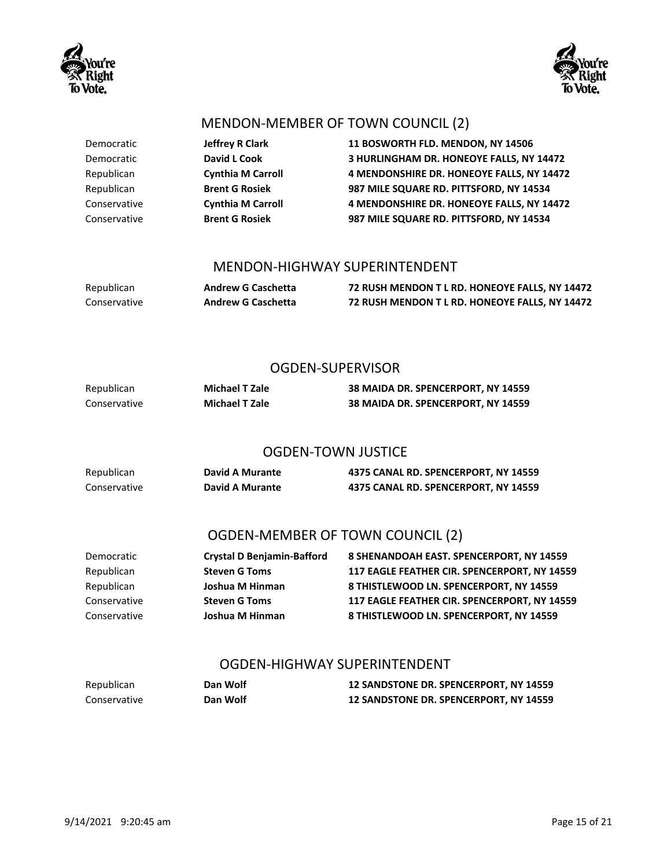



#### MENDON-MEMBER OF TOWN COUNCIL (2)

Democratic **Jeffrey R Clark 11 BOSWORTH FLD. MENDON, NY 14506** Democratic **David L Cook 3 HURLINGHAM DR. HONEOYE FALLS, NY 14472** Republican **Cynthia M Carroll 4 MENDONSHIRE DR. HONEOYE FALLS, NY 14472** Republican **Brent G Rosiek 987 MILE SQUARE RD. PITTSFORD, NY 14534** Conservative **Cynthia M Carroll 4 MENDONSHIRE DR. HONEOYE FALLS, NY 14472** Conservative **Brent G Rosiek 987 MILE SQUARE RD. PITTSFORD, NY 14534**

#### MENDON-HIGHWAY SUPERINTENDENT

Republican **Andrew G Caschetta 72 RUSH MENDON T L RD. HONEOYE FALLS, NY 14472** Conservative **Andrew G Caschetta 72 RUSH MENDON T L RD. HONEOYE FALLS, NY 14472**

#### OGDEN-SUPERVISOR

| Republican   | Michael T Zale        | 38 MAIDA DR. SPENCERPORT, NY 14559 |
|--------------|-----------------------|------------------------------------|
| Conservative | <b>Michael T Zale</b> | 38 MAIDA DR. SPENCERPORT, NY 14559 |

#### OGDEN-TOWN JUSTICE

| Republican   | David A Murante | 4375 CANAL RD. SPENCERPORT, NY 14559 |
|--------------|-----------------|--------------------------------------|
| Conservative | David A Murante | 4375 CANAL RD. SPENCERPORT, NY 14559 |

### OGDEN-MEMBER OF TOWN COUNCIL (2)

| Democratic   | <b>Crystal D Benjamin-Bafford</b> | 8 SHENANDOAH EAST. SPENCERPORT, NY 14559     |
|--------------|-----------------------------------|----------------------------------------------|
| Republican   | <b>Steven G Toms</b>              | 117 EAGLE FEATHER CIR. SPENCERPORT. NY 14559 |
| Republican   | Joshua M Hinman                   | 8 THISTLEWOOD LN. SPENCERPORT. NY 14559      |
| Conservative | <b>Steven G Toms</b>              | 117 EAGLE FEATHER CIR. SPENCERPORT. NY 14559 |
| Conservative | Joshua M Hinman                   | 8 THISTLEWOOD LN. SPENCERPORT. NY 14559      |

#### OGDEN-HIGHWAY SUPERINTENDENT

| Republican   | Dan Wolf | 12 SANDSTONE DR. SPENCERPORT, NY 14559        |
|--------------|----------|-----------------------------------------------|
| Conservative | Dan Wolf | <b>12 SANDSTONE DR. SPENCERPORT, NY 14559</b> |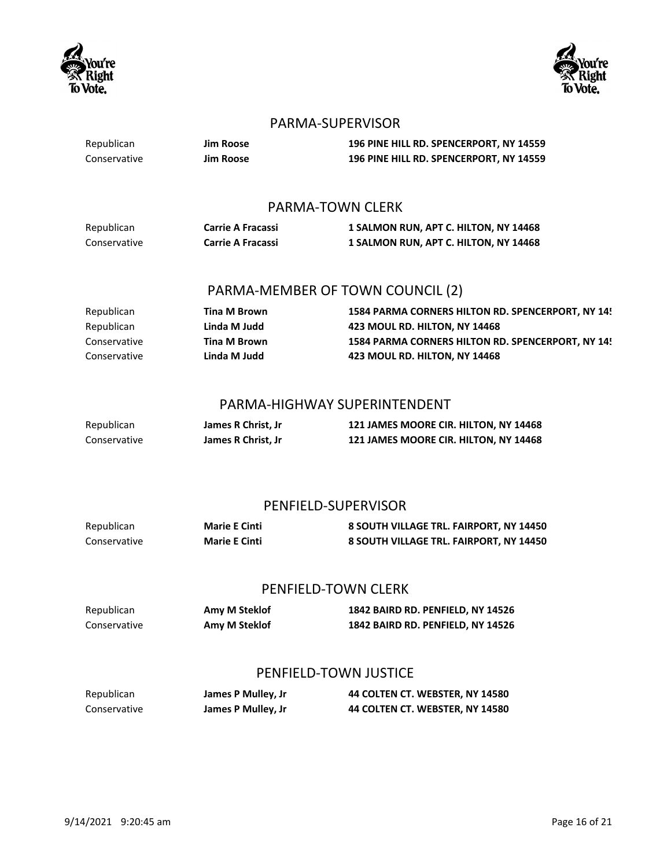



#### PARMA-SUPERVISOR

Republican **Jim Roose 196 PINE HILL RD. SPENCERPORT, NY 14559** Conservative **Jim Roose 196 PINE HILL RD. SPENCERPORT, NY 14559** PARMA-TOWN CLERK Republican **Carrie A Fracassi 1 SALMON RUN, APT C. HILTON, NY 14468** Conservative **Carrie A Fracassi 1 SALMON RUN, APT C. HILTON, NY 14468** PARMA-MEMBER OF TOWN COUNCIL (2) Republican **Tina M Brown 1584 PARMA CORNERS HILTON RD. SPENCERPORT, NY 14!** Republican **Linda M Judd 423 MOUL RD. HILTON, NY 14468** Conservative **Tina M Brown 1584 PARMA CORNERS HILTON RD. SPENCERPORT, NY 14559** Conservative **Linda M Judd 423 MOUL RD. HILTON, NY 14468** PARMA-HIGHWAY SUPERINTENDENT Republican **James R Christ, Jr 121 JAMES MOORE CIR. HILTON, NY 14468** Conservative **James R Christ, Jr 121 JAMES MOORE CIR. HILTON, NY 14468** PENFIELD-SUPERVISOR

| Republican   | <b>Marie E Cinti</b> | 8 SOUTH VILLAGE TRL. FAIRPORT, NY 14450 |
|--------------|----------------------|-----------------------------------------|
| Conservative | <b>Marie E Cinti</b> | 8 SOUTH VILLAGE TRL. FAIRPORT, NY 14450 |

#### PENFIELD-TOWN CLERK

Republican **Amy M Steklof 1842 BAIRD RD. PENFIELD, NY 14526** Conservative **Amy M Steklof 1842 BAIRD RD. PENFIELD, NY 14526**

#### PENFIELD-TOWN JUSTICE

| Republican   | James P Mulley, Jr | 44 COLTEN CT. WEBSTER, NY 14580 |
|--------------|--------------------|---------------------------------|
| Conservative | James P Mulley, Jr | 44 COLTEN CT. WEBSTER, NY 14580 |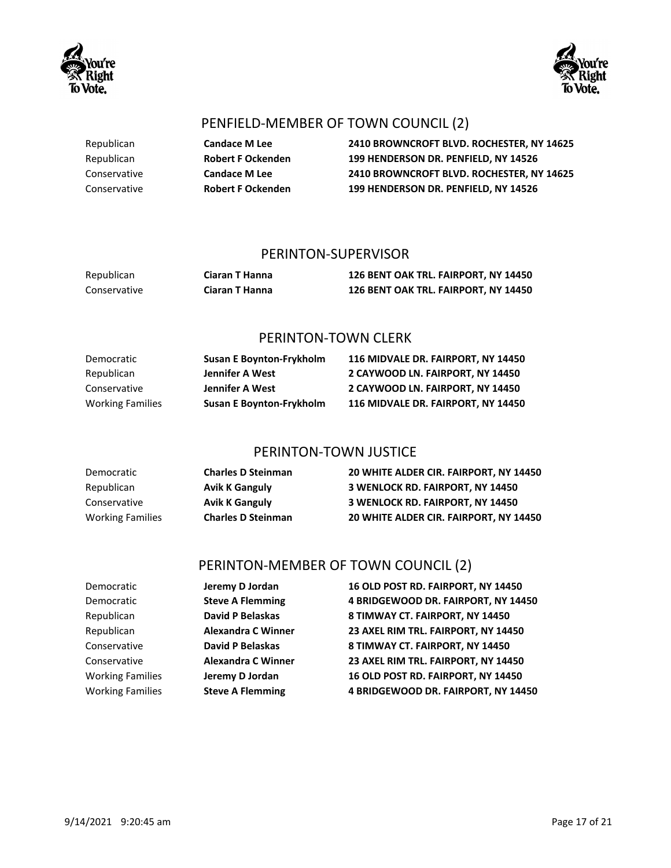



## PENFIELD-MEMBER OF TOWN COUNCIL (2)

Republican **Candace M Lee 2410 BROWNCROFT BLVD. ROCHESTER, NY 14625** Republican **Robert F Ockenden 199 HENDERSON DR. PENFIELD, NY 14526** Conservative **Candace M Lee 2410 BROWNCROFT BLVD. ROCHESTER, NY 14625** Conservative **Robert F Ockenden 199 HENDERSON DR. PENFIELD, NY 14526**

#### PERINTON-SUPERVISOR

| Republican   | Ciaran T Hanna | 126 BENT OAK TRL. FAIRPORT, NY 14450 |
|--------------|----------------|--------------------------------------|
| Conservative | Ciaran T Hanna | 126 BENT OAK TRL. FAIRPORT, NY 14450 |

#### PERINTON-TOWN CLERK

| Democratic              | <b>Susan E Boynton-Frykholm</b> | 116 MIDVALE DR. FAIRPORT. NY 14450 |
|-------------------------|---------------------------------|------------------------------------|
| Republican              | Jennifer A West                 | 2 CAYWOOD LN. FAIRPORT. NY 14450   |
| Conservative            | Jennifer A West                 | 2 CAYWOOD LN. FAIRPORT. NY 14450   |
| <b>Working Families</b> | <b>Susan E Boynton-Frykholm</b> | 116 MIDVALE DR. FAIRPORT. NY 14450 |

#### PERINTON-TOWN JUSTICE

| Democratic              | <b>Charles D Steinman</b> | 20 WHITE ALDER CIR. FAIRPORT. NY 14450  |
|-------------------------|---------------------------|-----------------------------------------|
| Republican              | <b>Avik K Ganguly</b>     | <b>3 WENLOCK RD. FAIRPORT. NY 14450</b> |
| Conservative            | <b>Avik K Ganguly</b>     | <b>3 WENLOCK RD. FAIRPORT. NY 14450</b> |
| <b>Working Families</b> | <b>Charles D Steinman</b> | 20 WHITE ALDER CIR. FAIRPORT. NY 14450  |

## PERINTON-MEMBER OF TOWN COUNCIL (2)

| Democratic              | Jeremy D Jordan           | 16 OLD POST RD. FAIRPORT, NY 14450  |
|-------------------------|---------------------------|-------------------------------------|
| Democratic              | <b>Steve A Flemming</b>   | 4 BRIDGEWOOD DR. FAIRPORT, NY 14450 |
| Republican              | <b>David P Belaskas</b>   | 8 TIMWAY CT. FAIRPORT, NY 14450     |
| Republican              | <b>Alexandra C Winner</b> | 23 AXEL RIM TRL. FAIRPORT, NY 14450 |
| Conservative            | <b>David P Belaskas</b>   | 8 TIMWAY CT. FAIRPORT, NY 14450     |
| Conservative            | <b>Alexandra C Winner</b> | 23 AXEL RIM TRL. FAIRPORT, NY 14450 |
| <b>Working Families</b> | Jeremy D Jordan           | 16 OLD POST RD. FAIRPORT, NY 14450  |
| <b>Working Families</b> | <b>Steve A Flemming</b>   | 4 BRIDGEWOOD DR. FAIRPORT, NY 14450 |
|                         |                           |                                     |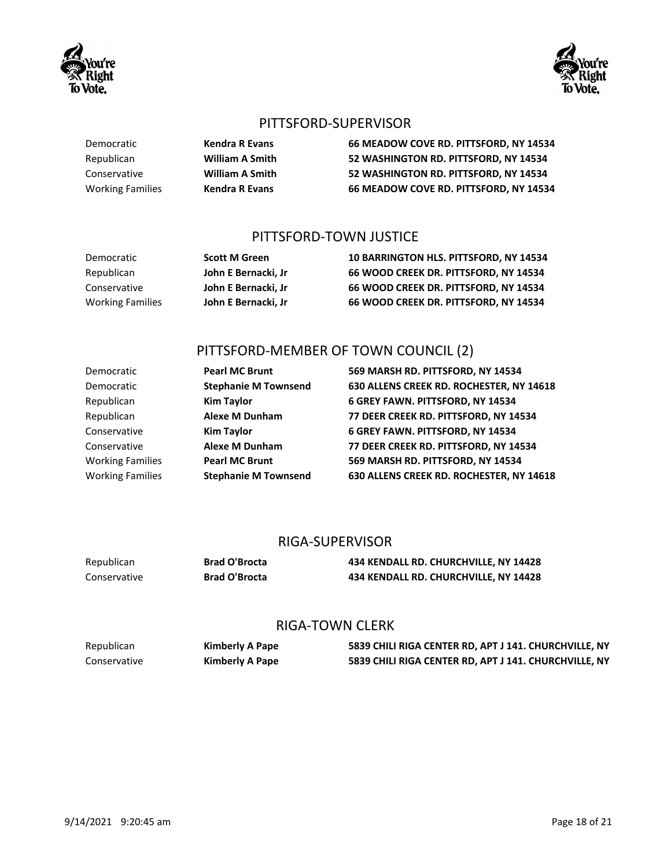#### PITTSFORD-SUPERVISOR

Democratic **Kendra R Evans 66 MEADOW COVE RD. PITTSFORD, NY 14534** Republican **William A Smith 52 WASHINGTON RD. PITTSFORD, NY 14534** Conservative **William A Smith 52 WASHINGTON RD. PITTSFORD, NY 14534** Working Families **Kendra R Evans 66 MEADOW COVE RD. PITTSFORD, NY 14534**

## PITTSFORD-TOWN JUSTICE

| Democratic              | <b>Scott M Green</b> | <b>10 BARRINGTON HLS. PITTSFORD. NY 14534</b> |
|-------------------------|----------------------|-----------------------------------------------|
| Republican              | John E Bernacki. Jr  | 66 WOOD CREEK DR. PITTSFORD. NY 14534         |
| Conservative            | John E Bernacki. Jr  | 66 WOOD CREEK DR. PITTSFORD. NY 14534         |
| <b>Working Families</b> | John E Bernacki. Jr  | 66 WOOD CREEK DR. PITTSFORD. NY 14534         |

## PITTSFORD-MEMBER OF TOWN COUNCIL (2)

| Democratic              | <b>Pearl MC Brunt</b>       | 569 MARSH RD. PITTSFORD, NY 14534        |
|-------------------------|-----------------------------|------------------------------------------|
| Democratic              | <b>Stephanie M Townsend</b> | 630 ALLENS CREEK RD. ROCHESTER, NY 14618 |
| Republican              | <b>Kim Taylor</b>           | 6 GREY FAWN. PITTSFORD, NY 14534         |
| Republican              | <b>Alexe M Dunham</b>       | 77 DEER CREEK RD. PITTSFORD, NY 14534    |
| Conservative            | <b>Kim Taylor</b>           | 6 GREY FAWN. PITTSFORD, NY 14534         |
| Conservative            | <b>Alexe M Dunham</b>       | 77 DEER CREEK RD. PITTSFORD, NY 14534    |
| <b>Working Families</b> | <b>Pearl MC Brunt</b>       | 569 MARSH RD. PITTSFORD, NY 14534        |
| <b>Working Families</b> | <b>Stephanie M Townsend</b> | 630 ALLENS CREEK RD. ROCHESTER, NY 14618 |

#### RIGA-SUPERVISOR

| Republican   | <b>Brad O'Brocta</b> | 434 KENDALL RD. CHURCHVILLE, NY 14428 |
|--------------|----------------------|---------------------------------------|
| Conservative | <b>Brad O'Brocta</b> | 434 KENDALL RD. CHURCHVILLE, NY 14428 |

#### RIGA-TOWN CLERK

| Republican   | Kimberly A Pape | 5839 CHILI RIGA CENTER RD, APT J 141. CHURCHVILLE, NY |
|--------------|-----------------|-------------------------------------------------------|
| Conservative | Kimberly A Pape | 5839 CHILI RIGA CENTER RD, APT J 141. CHURCHVILLE, NY |



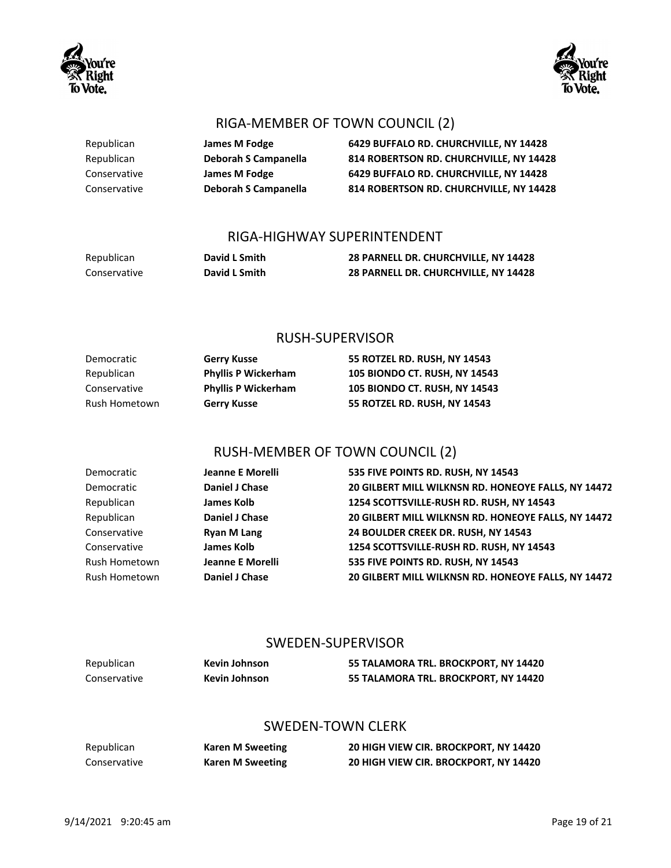

Republican **James M Fodge 6429 BUFFALO RD. CHURCHVILLE, NY 14428** Republican **Deborah S Campanella 814 ROBERTSON RD. CHURCHVILLE, NY 14428** Conservative **James M Fodge 6429 BUFFALO RD. CHURCHVILLE, NY 14428** Conservative **Deborah S Campanella 814 ROBERTSON RD. CHURCHVILLE, NY 14428**

### RIGA-HIGHWAY SUPERINTENDENT

| Republican   | David L Smith | 28 PARNELL DR. CHURCHVILLE, NY 14428 |
|--------------|---------------|--------------------------------------|
| Conservative | David L Smith | 28 PARNELL DR. CHURCHVILLE, NY 14428 |

#### RUSH-SUPERVISOR

| Democratic    | <b>Gerry Kusse</b>         | 55 ROTZEL RD. RUSH. NY 14543  |
|---------------|----------------------------|-------------------------------|
| Republican    | <b>Phyllis P Wickerham</b> | 105 BIONDO CT. RUSH, NY 14543 |
| Conservative  | <b>Phyllis P Wickerham</b> | 105 BIONDO CT. RUSH, NY 14543 |
| Rush Hometown | <b>Gerry Kusse</b>         | 55 ROTZEL RD. RUSH. NY 14543  |

## RUSH-MEMBER OF TOWN COUNCIL (2)

| Democratic    | Jeanne E Morelli        | 535 FIVE POINTS RD. RUSH, NY 14543                  |
|---------------|-------------------------|-----------------------------------------------------|
| Democratic    | Daniel J Chase          | 20 GILBERT MILL WILKNSN RD. HONEOYE FALLS, NY 14472 |
| Republican    | <b>James Kolb</b>       | 1254 SCOTTSVILLE-RUSH RD. RUSH, NY 14543            |
| Republican    | Daniel J Chase          | 20 GILBERT MILL WILKNSN RD. HONEOYE FALLS, NY 14472 |
| Conservative  | <b>Ryan M Lang</b>      | 24 BOULDER CREEK DR. RUSH, NY 14543                 |
| Conservative  | <b>James Kolb</b>       | 1254 SCOTTSVILLE-RUSH RD. RUSH, NY 14543            |
| Rush Hometown | <b>Jeanne E Morelli</b> | 535 FIVE POINTS RD. RUSH, NY 14543                  |
| Rush Hometown | Daniel J Chase          | 20 GILBERT MILL WILKNSN RD. HONEOYE FALLS, NY 14472 |

#### SWEDEN-SUPERVISOR

| Republican   | Kevin Johnson | 55 TALAMORA TRL. BROCKPORT, NY 14420 |
|--------------|---------------|--------------------------------------|
| Conservative | Kevin Johnson | 55 TALAMORA TRL. BROCKPORT, NY 14420 |

#### SWEDEN-TOWN CLERK

| Republican   |  |
|--------------|--|
| Conservative |  |

Republican **Karen M Sweeting 20 HIGH VIEW CIR. BROCKPORT, NY 14420** Karen M Sweeting **20 HIGH VIEW CIR. BROCKPORT, NY 14420** 



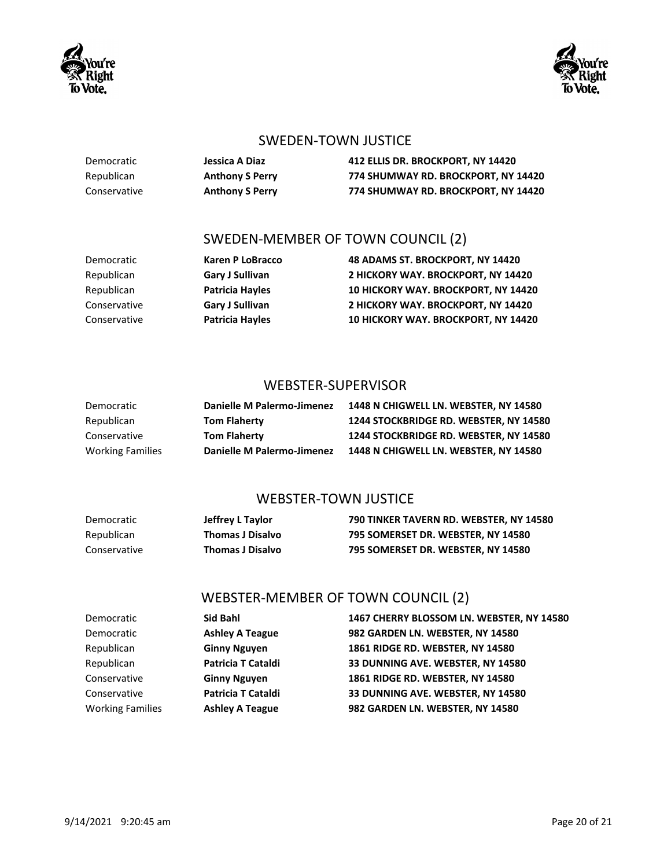



#### SWEDEN-TOWN JUSTICE

Democratic **Jessica A Diaz 412 ELLIS DR. BROCKPORT, NY 14420** Republican **Anthony S Perry 774 SHUMWAY RD. BROCKPORT, NY 14420** Conservative **Anthony S Perry 774 SHUMWAY RD. BROCKPORT, NY 14420**

### SWEDEN-MEMBER OF TOWN COUNCIL (2)

Democratic **Karen P LoBracco 48 ADAMS ST. BROCKPORT, NY 14420** Republican **Gary J Sullivan 2 HICKORY WAY. BROCKPORT, NY 14420** Republican **Patricia Hayles 10 HICKORY WAY. BROCKPORT, NY 14420** Conservative **Gary J Sullivan 2 HICKORY WAY. BROCKPORT, NY 14420** Conservative **Patricia Hayles 10 HICKORY WAY. BROCKPORT, NY 14420**

#### WEBSTER-SUPERVISOR

| Democratic              | Danielle M Palermo-Jimenez | 1448 N CHIGWELL LN. WEBSTER. NY 14580  |
|-------------------------|----------------------------|----------------------------------------|
| Republican              | <b>Tom Flaherty</b>        | 1244 STOCKBRIDGE RD. WEBSTER, NY 14580 |
| Conservative            | <b>Tom Flaherty</b>        | 1244 STOCKBRIDGE RD. WEBSTER. NY 14580 |
| <b>Working Families</b> | Danielle M Palermo-Jimenez | 1448 N CHIGWELL LN. WEBSTER. NY 14580  |

#### WEBSTER-TOWN JUSTICE

| Democratic   | Jeffrey L Taylor        | 790 TINKER TAVERN RD. WEBSTER, NY 14580 |
|--------------|-------------------------|-----------------------------------------|
| Republican   | <b>Thomas J Disalvo</b> | 795 SOMERSET DR. WEBSTER. NY 14580      |
| Conservative | Thomas J Disalvo        | 795 SOMERSET DR. WEBSTER. NY 14580      |

#### WEBSTER-MEMBER OF TOWN COUNCIL (2)

| Democratic              | Sid Bahl               | 1467 CHERRY BLOSSOM LN. WEBSTER, NY 14580 |
|-------------------------|------------------------|-------------------------------------------|
| Democratic              | <b>Ashley A Teague</b> | 982 GARDEN LN. WEBSTER, NY 14580          |
| Republican              | <b>Ginny Nguyen</b>    | 1861 RIDGE RD. WEBSTER, NY 14580          |
| Republican              | Patricia T Cataldi     | 33 DUNNING AVE. WEBSTER, NY 14580         |
| Conservative            | <b>Ginny Nguyen</b>    | 1861 RIDGE RD. WEBSTER, NY 14580          |
| Conservative            | Patricia T Cataldi     | 33 DUNNING AVE. WEBSTER, NY 14580         |
| <b>Working Families</b> | <b>Ashley A Teague</b> | 982 GARDEN LN. WEBSTER, NY 14580          |
|                         |                        |                                           |